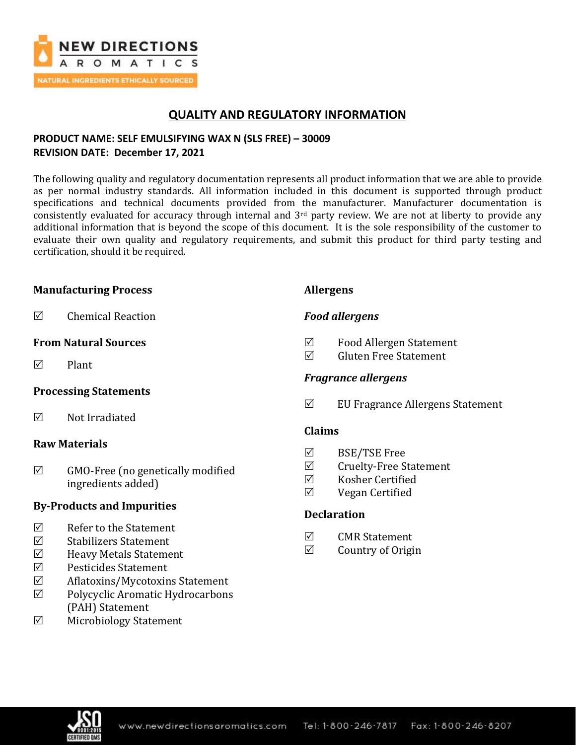

## **QUALITY AND REGULATORY INFORMATION**

## **PRODUCT NAME: SELF EMULSIFYING WAX N (SLS FREE) – 30009 REVISION DATE: December 17, 2021**

The following quality and regulatory documentation represents all product information that we are able to provide as per normal industry standards. All information included in this document is supported through product specifications and technical documents provided from the manufacturer. Manufacturer documentation is consistently evaluated for accuracy through internal and  $3<sup>rd</sup>$  party review. We are not at liberty to provide any additional information that is beyond the scope of this document. It is the sole responsibility of the customer to evaluate their own quality and regulatory requirements, and submit this product for third party testing and certification, should it be required.

## **Manufacturing Process**

 $\boxtimes$  Chemical Reaction

### **From Natural Sources**

 $\nabla$  Plant

### **Processing Statements**

 $\nabla$  Not Irradiated

### **Raw Materials**

 $\boxtimes$  GMO-Free (no genetically modified ingredients added)

### **By-Products and Impurities**

- $\boxtimes$  Refer to the Statement
- $\boxtimes$  Stabilizers Statement
- $\triangledown$  Heavy Metals Statement
- $\boxtimes$  Pesticides Statement
- Aflatoxins/Mycotoxins Statement
- Polycyclic Aromatic Hydrocarbons (PAH) Statement
- Microbiology Statement

### **Allergens**

## *Food allergens*

- Food Allergen Statement
- $\nabla$  Gluten Free Statement

## *Fragrance allergens*

 $\boxtimes$  EU Fragrance Allergens Statement

## **Claims**

- $\boxtimes$  BSE/TSE Free
- Cruelty-Free Statement
- $\nabla$  Kosher Certified
- $\boxtimes$  Vegan Certified

## **Declaration**

- $\overline{M}$  CMR Statement
- $\boxtimes$  Country of Origin

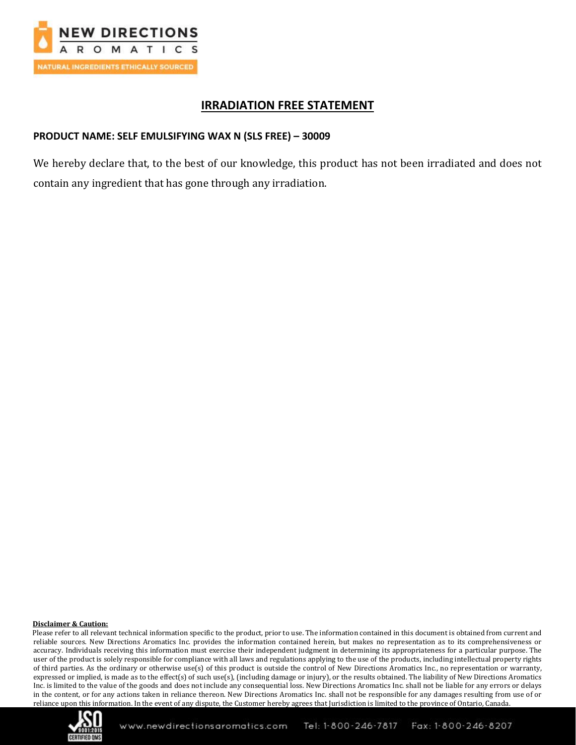

## **IRRADIATION FREE STATEMENT**

### **PRODUCT NAME: SELF EMULSIFYING WAX N (SLS FREE) – 30009**

We hereby declare that, to the best of our knowledge, this product has not been irradiated and does not contain any ingredient that has gone through any irradiation.

#### **Disclaimer & Caution:**

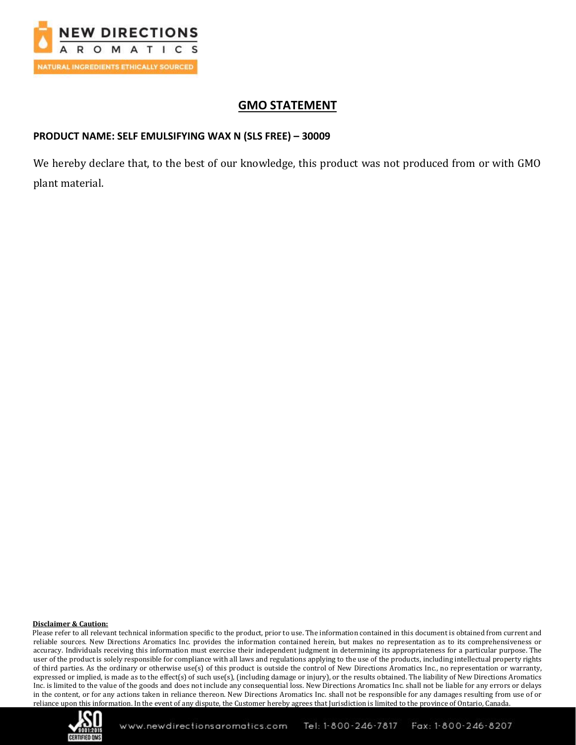

## **GMO STATEMENT**

### **PRODUCT NAME: SELF EMULSIFYING WAX N (SLS FREE) – 30009**

We hereby declare that, to the best of our knowledge, this product was not produced from or with GMO plant material.

#### **Disclaimer & Caution:**

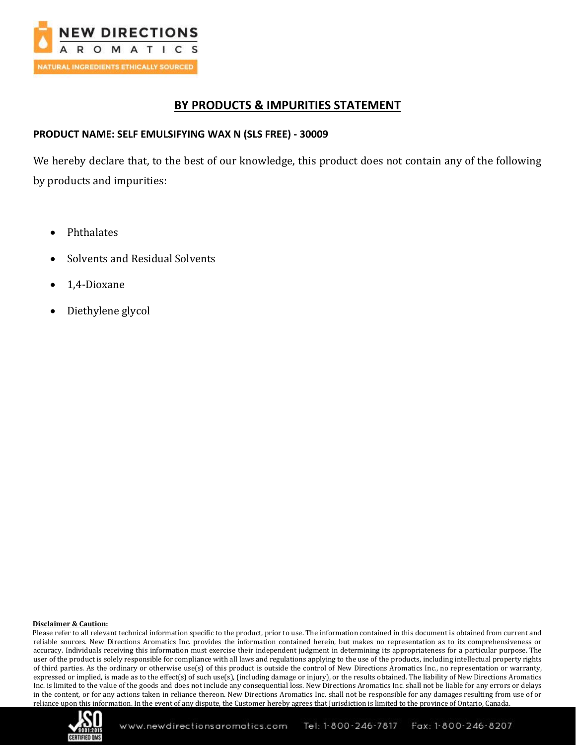

## **BY PRODUCTS & IMPURITIES STATEMENT**

## **PRODUCT NAME: SELF EMULSIFYING WAX N (SLS FREE) - 30009**

We hereby declare that, to the best of our knowledge, this product does not contain any of the following by products and impurities:

- Phthalates
- Solvents and Residual Solvents
- 1,4-Dioxane
- Diethylene glycol

#### **Disclaimer & Caution:**

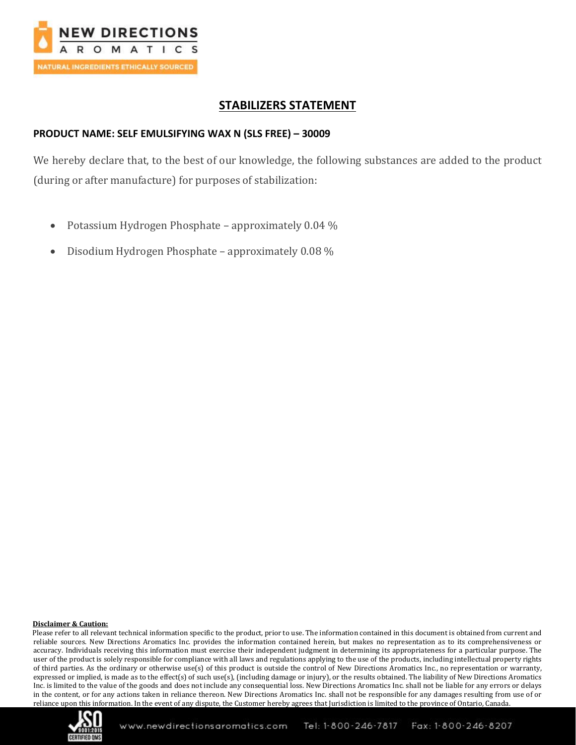

## **STABILIZERS STATEMENT**

### **PRODUCT NAME: SELF EMULSIFYING WAX N (SLS FREE) – 30009**

We hereby declare that, to the best of our knowledge, the following substances are added to the product (during or after manufacture) for purposes of stabilization:

- Potassium Hydrogen Phosphate approximately 0.04 %
- Disodium Hydrogen Phosphate approximately 0.08 %

#### **Disclaimer & Caution:**

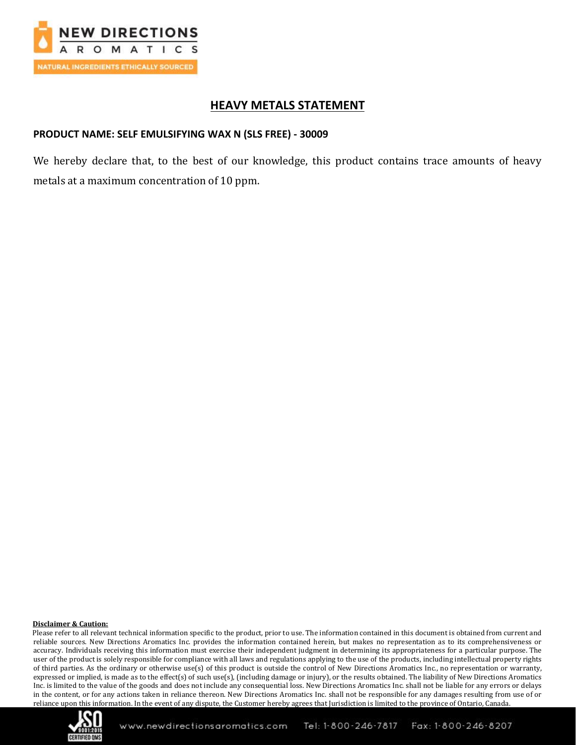

## **HEAVY METALS STATEMENT**

## **PRODUCT NAME: SELF EMULSIFYING WAX N (SLS FREE) - 30009**

We hereby declare that, to the best of our knowledge, this product contains trace amounts of heavy metals at a maximum concentration of 10 ppm.

#### **Disclaimer & Caution:**

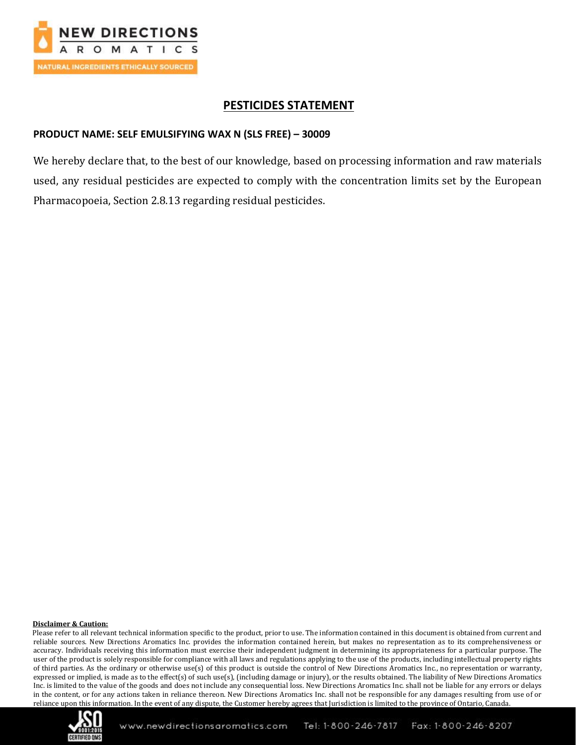

## **PESTICIDES STATEMENT**

# **PRODUCT NAME: SELF EMULSIFYING WAX N (SLS FREE) – 30009**

We hereby declare that, to the best of our knowledge, based on processing information and raw materials used, any residual pesticides are expected to comply with the concentration limits set by the European Pharmacopoeia, Section 2.8.13 regarding residual pesticides.

#### **Disclaimer & Caution:**

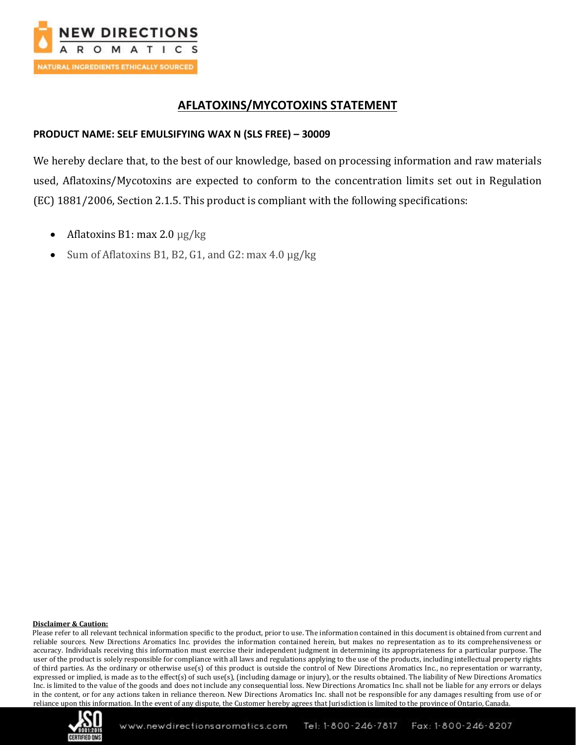

## **AFLATOXINS/MYCOTOXINS STATEMENT**

## **PRODUCT NAME: SELF EMULSIFYING WAX N (SLS FREE) – 30009**

We hereby declare that, to the best of our knowledge, based on processing information and raw materials used, Aflatoxins/Mycotoxins are expected to conform to the concentration limits set out in Regulation (EC) 1881/2006, Section 2.1.5. This product is compliant with the following specifications:

- Aflatoxins B1: max 2.0  $\mu$ g/kg
- Sum of Aflatoxins B1, B2, G1, and G2: max 4.0  $\mu$ g/kg

#### **Disclaimer & Caution:**

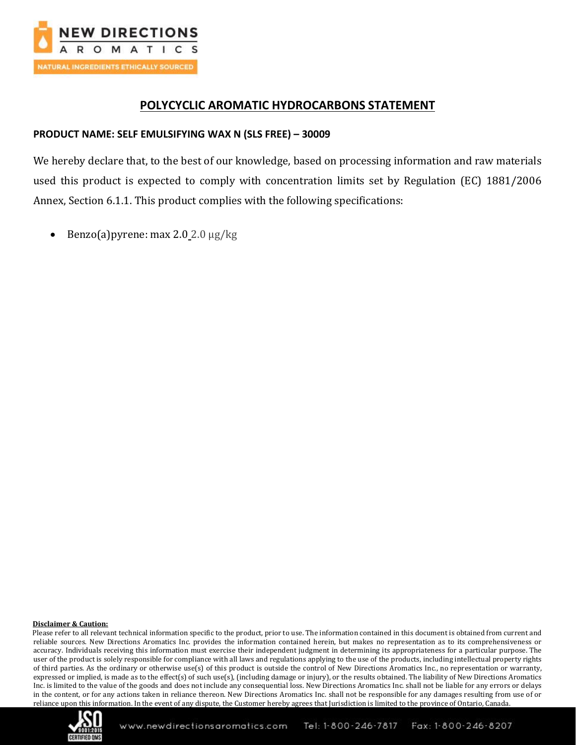

## **POLYCYCLIC AROMATIC HYDROCARBONS STATEMENT**

## **PRODUCT NAME: SELF EMULSIFYING WAX N (SLS FREE) – 30009**

We hereby declare that, to the best of our knowledge, based on processing information and raw materials used this product is expected to comply with concentration limits set by Regulation (EC) 1881/2006 Annex, Section 6.1.1. This product complies with the following specifications:

• Benzo(a)pyrene: max 2.0 2.0  $\mu$ g/kg

#### **Disclaimer & Caution:**

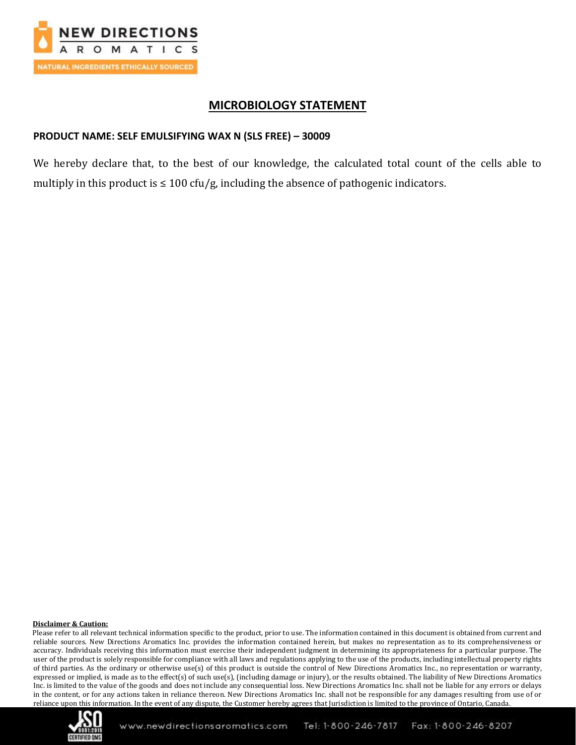

## **MICROBIOLOGY STATEMENT**

## **PRODUCT NAME: SELF EMULSIFYING WAX N (SLS FREE) – 30009**

We hereby declare that, to the best of our knowledge, the calculated total count of the cells able to multiply in this product is  $\leq 100$  cfu/g, including the absence of pathogenic indicators.

#### **Disclaimer & Caution:**

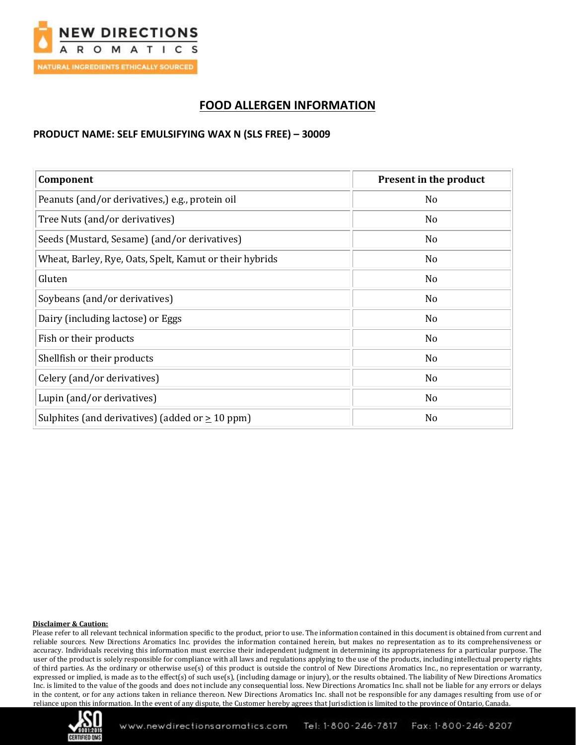

# **FOOD ALLERGEN INFORMATION**

## **PRODUCT NAME: SELF EMULSIFYING WAX N (SLS FREE) – 30009**

| Component                                               | Present in the product |
|---------------------------------------------------------|------------------------|
| Peanuts (and/or derivatives,) e.g., protein oil         | N <sub>o</sub>         |
| Tree Nuts (and/or derivatives)                          | No                     |
| Seeds (Mustard, Sesame) (and/or derivatives)            | N <sub>0</sub>         |
| Wheat, Barley, Rye, Oats, Spelt, Kamut or their hybrids | N <sub>o</sub>         |
| Gluten                                                  | N <sub>0</sub>         |
| Soybeans (and/or derivatives)                           | N <sub>o</sub>         |
| Dairy (including lactose) or Eggs                       | N <sub>o</sub>         |
| Fish or their products                                  | No                     |
| Shellfish or their products                             | No                     |
| Celery (and/or derivatives)                             | No                     |
| Lupin (and/or derivatives)                              | No                     |
| Sulphites (and derivatives) (added or $\geq 10$ ppm)    | No                     |

#### **Disclaimer & Caution:**

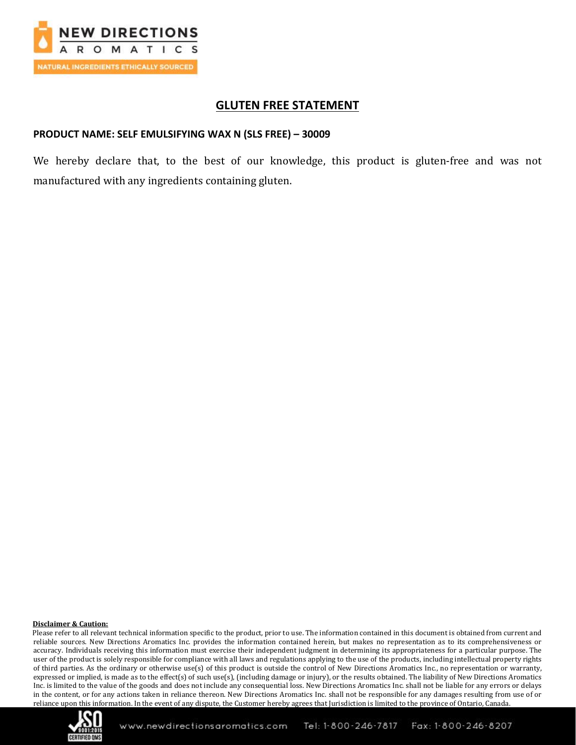

## **GLUTEN FREE STATEMENT**

### **PRODUCT NAME: SELF EMULSIFYING WAX N (SLS FREE) – 30009**

We hereby declare that, to the best of our knowledge, this product is gluten-free and was not manufactured with any ingredients containing gluten.

#### **Disclaimer & Caution:**

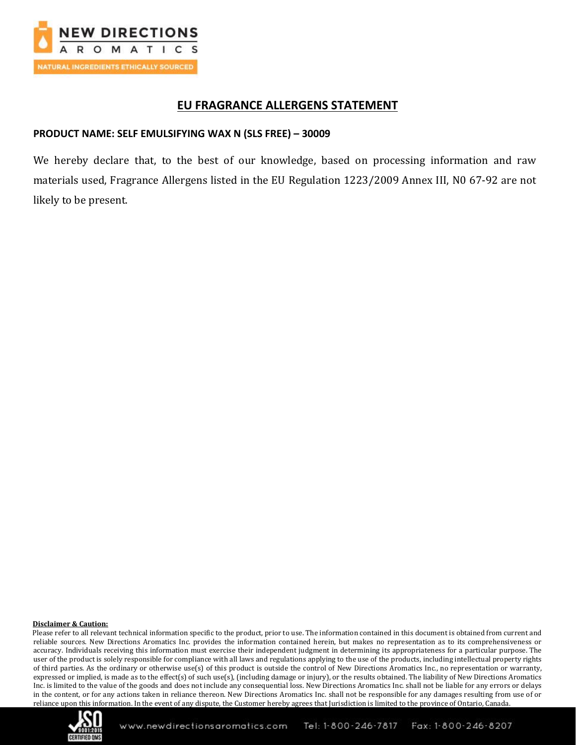

## **EU FRAGRANCE ALLERGENS STATEMENT**

## **PRODUCT NAME: SELF EMULSIFYING WAX N (SLS FREE) – 30009**

We hereby declare that, to the best of our knowledge, based on processing information and raw materials used, Fragrance Allergens listed in the EU Regulation 1223/2009 Annex III, N0 67-92 are not likely to be present.

#### **Disclaimer & Caution:**

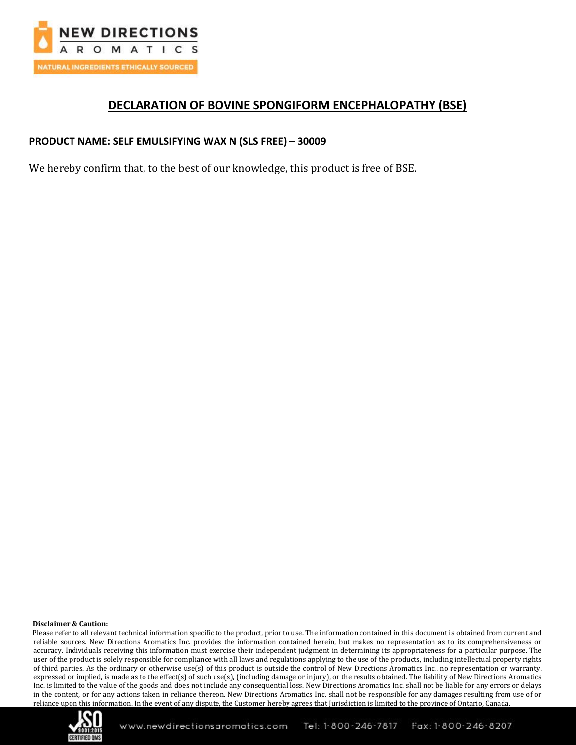

## **DECLARATION OF BOVINE SPONGIFORM ENCEPHALOPATHY (BSE)**

### **PRODUCT NAME: SELF EMULSIFYING WAX N (SLS FREE) – 30009**

We hereby confirm that, to the best of our knowledge, this product is free of BSE.

#### **Disclaimer & Caution:**

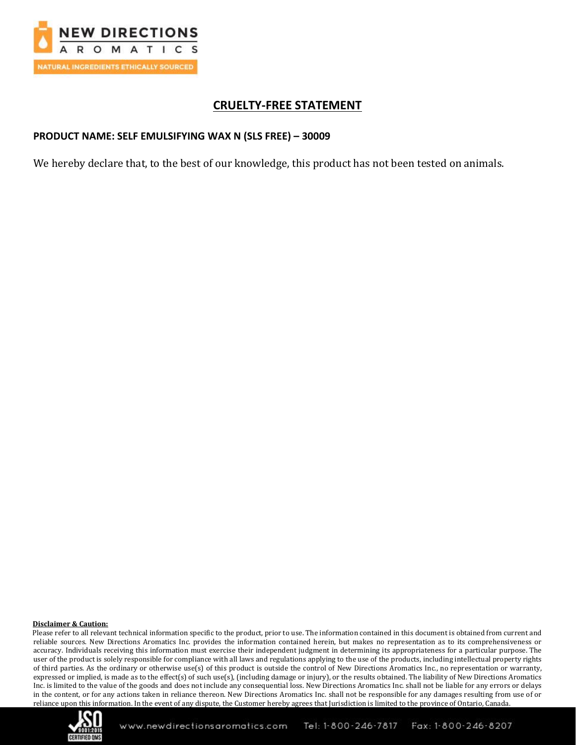

## **CRUELTY-FREE STATEMENT**

### **PRODUCT NAME: SELF EMULSIFYING WAX N (SLS FREE) – 30009**

We hereby declare that, to the best of our knowledge, this product has not been tested on animals.

#### **Disclaimer & Caution:**

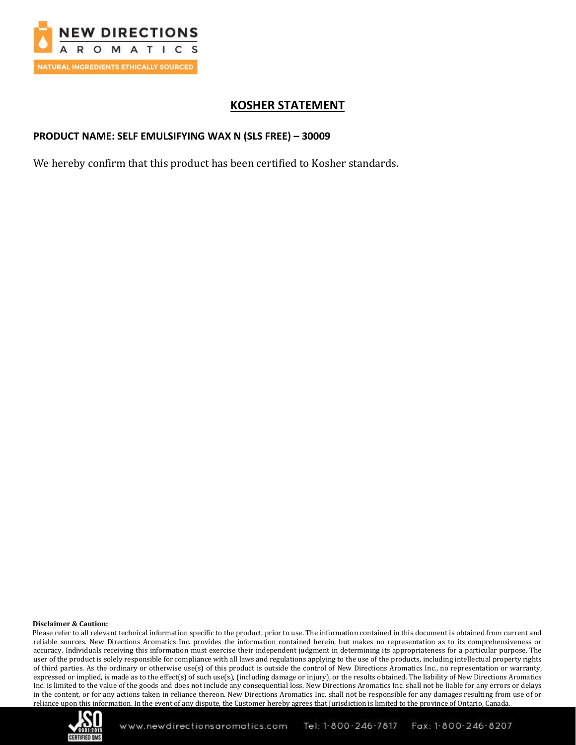

# **KOSHER STATEMENT**

### **PRODUCT NAME: SELF EMULSIFYING WAX N (SLS FREE) – 30009**

We hereby confirm that this product has been certified to Kosher standards.

#### **Disclaimer & Caution:**

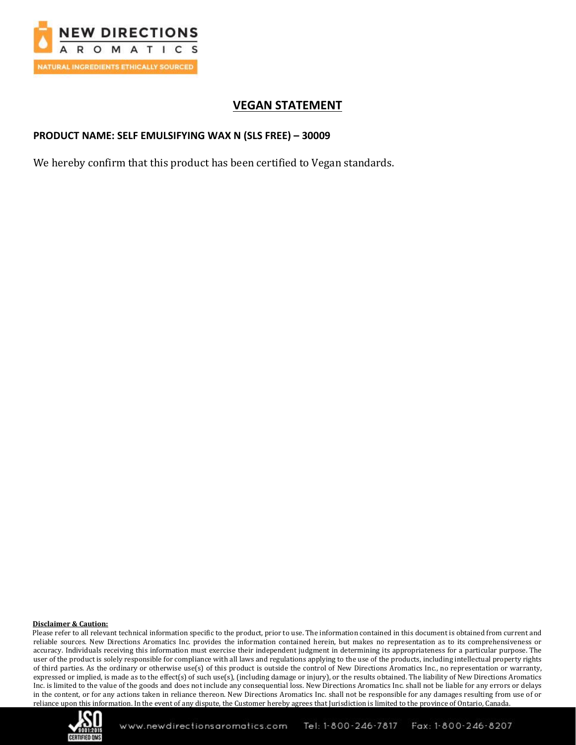

# **VEGAN STATEMENT**

### **PRODUCT NAME: SELF EMULSIFYING WAX N (SLS FREE) – 30009**

We hereby confirm that this product has been certified to Vegan standards.

#### **Disclaimer & Caution:**

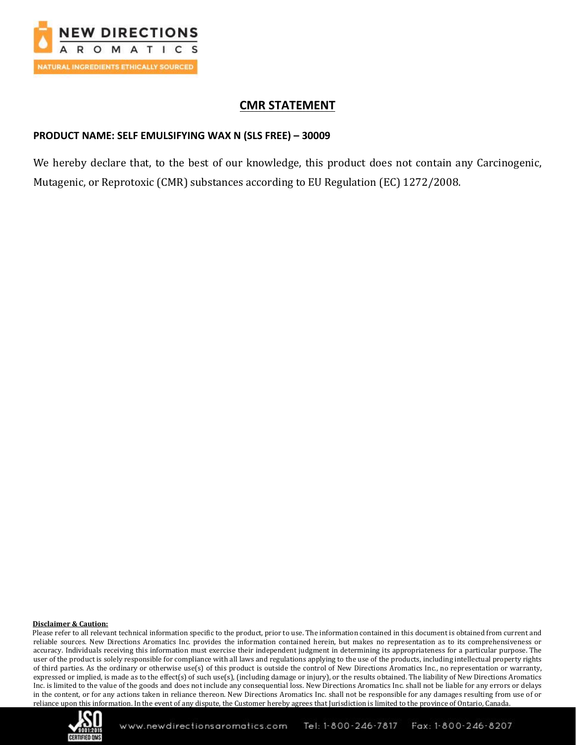

## **CMR STATEMENT**

### **PRODUCT NAME: SELF EMULSIFYING WAX N (SLS FREE) – 30009**

We hereby declare that, to the best of our knowledge, this product does not contain any Carcinogenic, Mutagenic, or Reprotoxic (CMR) substances according to EU Regulation (EC) 1272/2008.

#### **Disclaimer & Caution:**